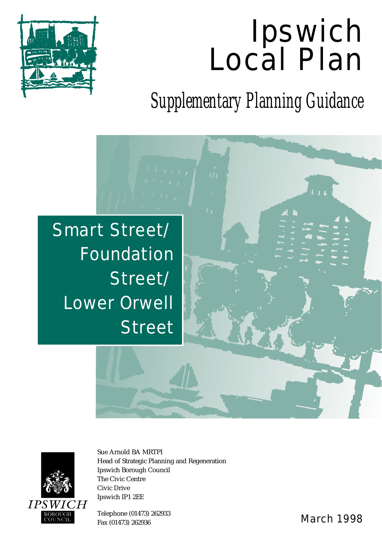# Ipswich Local Plan



*Supplementary Planning Guidance*





Sue Arnold BA MRTPI Head of Strategic Planning and Regeneration Ipswich Borough Council The Civic Centre Civic Drive Ipswich IP1 2EE

Telephone (01473) 262933 Fax (01473) 262933 Fax (01473) 262935 Fax (01473) 262936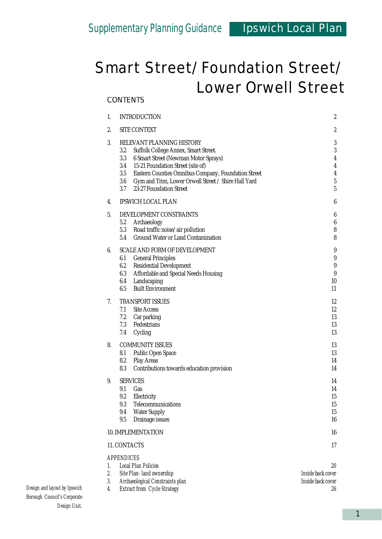#### 1. INTRODUCTION 2 2. SITE CONTEXT 2 3. RELEVANT PLANNING HISTORY 3 3.2 Suffolk College Annex, Smart Street. 3 3.3 6 Smart Street (Newman Motor Sprays) 4 3.4 15-21 Foundation Street (site of) 4 3.5 Eastern Counties Omnibus Company, Foundation Street 4 3.6 Gym and Trim, Lower Orwell Street / Shire Hall Yard 5 3.7 23-27 Foundation Street 5 4. IPSWICH LOCAL PLAN 6 5. DEVELOPMENT CONSTRAINTS 6 5.2 Archaeology 6 5.3 Road traffic noise/air pollution 8 5.4 Ground Water or Land Contamination 8 6. SCALE AND FORM OF DEVELOPMENT 9 6.1 General Principles 9 6.2 Residential Development 9 6.3 Affordable and Special Needs Housing 9 6.4 Landscaping 10 6.5 Built Environment 11 7. TRANSPORT ISSUES 12 7.1 Site Access 12 7.2 Car parking 13 7.3 Pedestrians 13 7.4 Cycling 13 8. COMMUNITY ISSUES 13 8.1 Public Open Space 13 8.2 Play Areas 14 8.3 Contributions towards education provision 14 9. SERVICES  $14$ 9.1 Gas 14 9.2 Electricity 15 9.3 Telecommunications 15 9.4 Water Supply 15 9.5 Drainage issues 16 10. IMPLEMENTATION 16 11. CONTACTS 17 *APPENDICES 1. Local Plan Policies 20*

|  | Local Pian Policies                |                   |
|--|------------------------------------|-------------------|
|  | Site Plan- land ownership          | Inside back cover |
|  | Archaeological Constraints plan    | Inside back cover |
|  | <b>Extract from Cycle Strategy</b> | 26                |
|  |                                    |                   |

#### *Design and layout by Ipswich Borough Council's Corporate Design Unit.*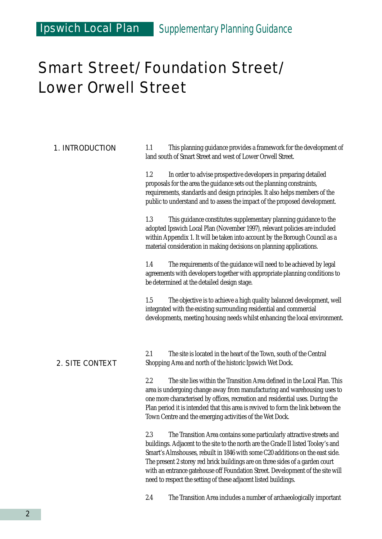### Ipswich Local Plan *Supplementary Planning Guidance*

### Smart Street/Foundation Street/ Lower Orwell Street

| <b>1. INTRODUCTION</b> | This planning guidance provides a framework for the development of<br>1.1<br>land south of Smart Street and west of Lower Orwell Street.                                                                                                                                                                                                                                                                                                                                                 |  |  |
|------------------------|------------------------------------------------------------------------------------------------------------------------------------------------------------------------------------------------------------------------------------------------------------------------------------------------------------------------------------------------------------------------------------------------------------------------------------------------------------------------------------------|--|--|
|                        | 1.2<br>In order to advise prospective developers in preparing detailed<br>proposals for the area the guidance sets out the planning constraints,<br>requirements, standards and design principles. It also helps members of the<br>public to understand and to assess the impact of the proposed development.                                                                                                                                                                            |  |  |
|                        | 1.3<br>This guidance constitutes supplementary planning guidance to the<br>adopted Ipswich Local Plan (November 1997), relevant policies are included<br>within Appendix 1. It will be taken into account by the Borough Council as a<br>material consideration in making decisions on planning applications.                                                                                                                                                                            |  |  |
|                        | 1.4<br>The requirements of the guidance will need to be achieved by legal<br>agreements with developers together with appropriate planning conditions to<br>be determined at the detailed design stage.                                                                                                                                                                                                                                                                                  |  |  |
|                        | 1.5<br>The objective is to achieve a high quality balanced development, well<br>integrated with the existing surrounding residential and commercial<br>developments, meeting housing needs whilst enhancing the local environment.                                                                                                                                                                                                                                                       |  |  |
| <b>2. SITE CONTEXT</b> | 2.1<br>The site is located in the heart of the Town, south of the Central<br>Shopping Area and north of the historic Ipswich Wet Dock.                                                                                                                                                                                                                                                                                                                                                   |  |  |
|                        | 2.2<br>The site lies within the Transition Area defined in the Local Plan. This<br>area is undergoing change away from manufacturing and warehousing uses to<br>one more characterised by offices, recreation and residential uses. During the<br>Plan period it is intended that this area is revived to form the link between the<br>Town Centre and the emerging activities of the Wet Dock.                                                                                          |  |  |
|                        | 2.3<br>The Transition Area contains some particularly attractive streets and<br>buildings. Adjacent to the site to the north are the Grade II listed Tooley's and<br>Smart's Almshouses, rebuilt in 1846 with some C20 additions on the east side.<br>The present 2 storey red brick buildings are on three sides of a garden court<br>with an entrance gatehouse off Foundation Street. Development of the site will<br>need to respect the setting of these adjacent listed buildings. |  |  |
|                        | 2.4<br>The Transition Area includes a number of archaeologically important                                                                                                                                                                                                                                                                                                                                                                                                               |  |  |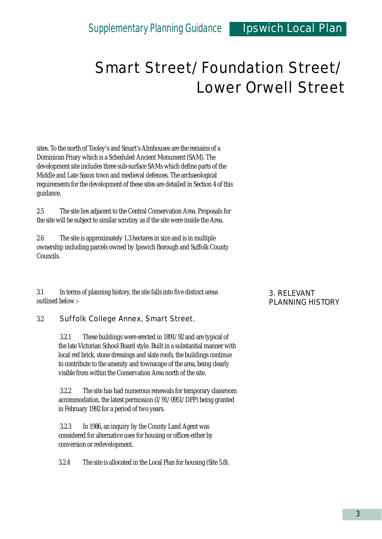sites. To the north of Tooley's and Smart's Almhouses are the remains of a Dominican Friary which is a Scheduled Ancient Monument (SAM). The development site includes three sub-surface SAMs which define parts of the Middle and Late Saxon town and medieval defences. The archaeological requirements for the development of these sites are detailed in Section 4 of this guidance.

2.5 The site lies adjacent to the Central Conservation Area. Proposals for the site will be subject to similar scrutiny as if the site were inside the Area.

2.6 The site is approximately 1.3 hectares in size and is in multiple ownership including parcels owned by Ipswich Borough and Suffolk County Councils.

3.1 In terms of planning history, the site falls into five distinct areas outlined below :-

#### 3.2 Suffolk College Annex, Smart Street.

3.2.1 These buildings were erected in 1891/92 and are typical of the late Victorian School Board style. Built in a substantial manner with local red brick, stone dressings and slate roofs, the buildings continue to contribute to the amenity and townscape of the area, being clearly visible from within the Conservation Area north of the site.

3.2.2 The site has had numerous renewals for temporary classroom accommodation, the latest permission (I/91/0951/DFP) being granted in February 1992 for a period of two years.

3.2.3 In 1986, an inquiry by the County Land Agent was considered for alternative uses for housing or offices either by conversion or redevelopment.

3.2.4 The site is allocated in the Local Plan for housing (Site 5.8).

#### 3. RELEVANT PLANNING HISTORY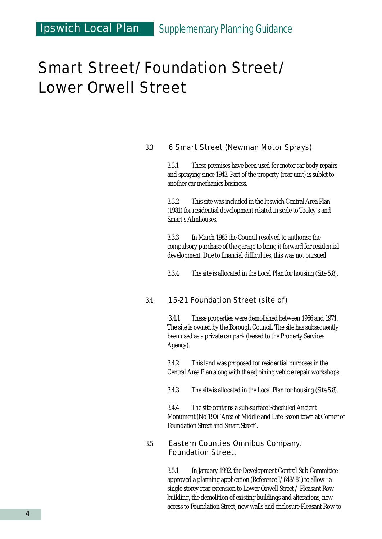### Ipswich Local Plan *Supplementary Planning Guidance*

### Smart Street/Foundation Street/ Lower Orwell Street

#### 3.3 6 Smart Street (Newman Motor Sprays)

3.3.1 These premises have been used for motor car body repairs and spraying since 1943. Part of the property (rear unit) is sublet to another car mechanics business.

3.3.2 This site was included in the Ipswich Central Area Plan (1981) for residential development related in scale to Tooley's and Smart's Almhouses.

3.3.3 In March 1983 the Council resolved to authorise the compulsory purchase of the garage to bring it forward for residential development. Due to financial difficulties, this was not pursued.

3.3.4 The site is allocated in the Local Plan for housing (Site 5.8).

#### 3.4 15-21 Foundation Street (site of)

3.4.1 These properties were demolished between 1966 and 1971. The site is owned by the Borough Council. The site has subsequently been used as a private car park (leased to the Property Services Agency).

3.4.2 This land was proposed for residential purposes in the Central Area Plan along with the adjoining vehicle repair workshops.

3.4.3 The site is allocated in the Local Plan for housing (Site 5.8).

3.4.4 The site contains a sub-surface Scheduled Ancient Monument (No 190) `Area of Middle and Late Saxon town at Corner of Foundation Street and Smart Street'.

#### 3.5 Eastern Counties Omnibus Company, Foundation Street.

3.5.1 In January 1992, the Development Control Sub-Committee approved a planning application (Reference I/648/81) to allow "a single storey rear extension to Lower Orwell Street / Pleasant Row building, the demolition of existing buildings and alterations, new access to Foundation Street, new walls and enclosure Pleasant Row to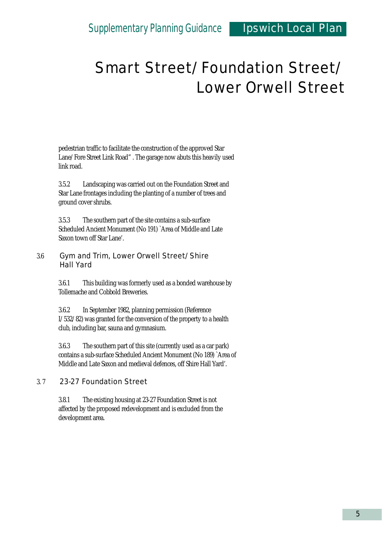pedestrian traffic to facilitate the construction of the approved Star Lane/Fore Street Link Road" . The garage now abuts this heavily used link road.

3.5.2 Landscaping was carried out on the Foundation Street and Star Lane frontages including the planting of a number of trees and ground cover shrubs.

3.5.3 The southern part of the site contains a sub-surface Scheduled Ancient Monument (No 191) `Area of Middle and Late Saxon town off Star Lane'.

#### 3.6 Gym and Trim, Lower Orwell Street/Shire Hall Yard

3.6.1 This building was formerly used as a bonded warehouse by Tollemache and Cobbold Breweries.

3.6.2 In September 1982, planning permission (Reference I/532/82) was granted for the conversion of the property to a health club, including bar, sauna and gymnasium.

3.6.3 The southern part of this site (currently used as a car park) contains a sub-surface Scheduled Ancient Monument (No 189) `Area of Middle and Late Saxon and medieval defences, off Shire Hall Yard'.

#### 3. 7 23-27 Foundation Street

3.8.1 The existing housing at 23-27 Foundation Street is not affected by the proposed redevelopment and is excluded from the development area.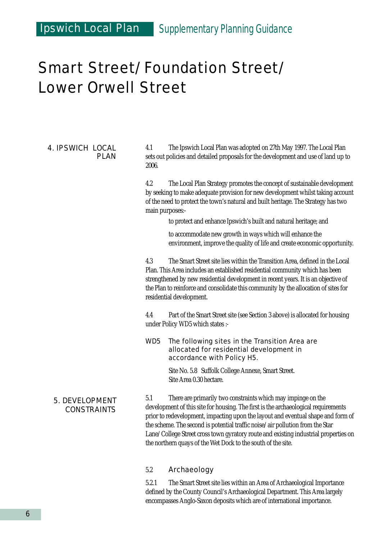### Ipswich Local Plan *Supplementary Planning Guidance*

### Smart Street/Foundation Street/ Lower Orwell Street

#### 4. IPSWICH LOCAL PLAN

4.1 The Ipswich Local Plan was adopted on 27th May 1997. The Local Plan sets out policies and detailed proposals for the development and use of land up to 2006.

4.2 The Local Plan Strategy promotes the concept of sustainable development by seeking to make adequate provision for new development whilst taking account of the need to protect the town's natural and built heritage. The Strategy has two main purposes:-

to protect and enhance Ipswich's built and natural heritage; and

to accommodate new growth in ways which will enhance the environment, improve the quality of life and create economic opportunity.

4.3 The Smart Street site lies within the Transition Area, defined in the Local Plan. This Area includes an established residential community which has been strengthened by new residential development in recent years. It is an objective of the Plan to reinforce and consolidate this community by the allocation of sites for residential development.

4.4 Part of the Smart Street site (see Section 3 above) is allocated for housing under Policy WD5 which states :-

#### WD5 The following sites in the Transition Area are allocated for residential development in accordance with Policy H5.

Site No. 5.8 Suffolk College Annexe, Smart Street. Site Area 0.30 hectare.

#### 5. DEVELOPMENT CONSTRAINTS

5.1 There are primarily two constraints which may impinge on the development of this site for housing. The first is the archaeological requirements prior to redevelopment, impacting upon the layout and eventual shape and form of the scheme. The second is potential traffic noise/air pollution from the Star Lane/College Street cross town gyratory route and existing industrial properties on the northern quays of the Wet Dock to the south of the site.

#### 5.2 Archaeology

5.2.1 The Smart Street site lies within an Area of Archaeological Importance defined by the County Council's Archaeological Department. This Area largely encompasses Anglo-Saxon deposits which are of international importance.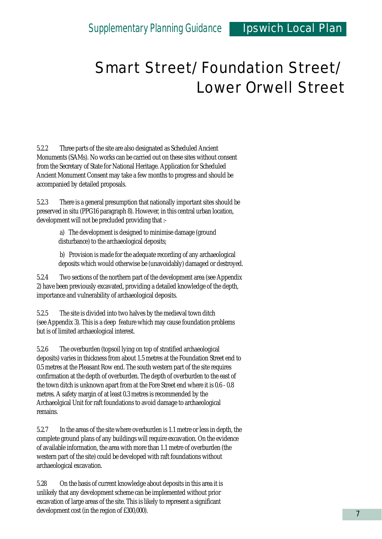5.2.2 Three parts of the site are also designated as Scheduled Ancient Monuments (SAMs). No works can be carried out on these sites without consent from the Secretary of State for National Heritage. Application for Scheduled Ancient Monument Consent may take a few months to progress and should be accompanied by detailed proposals.

5.2.3 There is a general presumption that nationally important sites should be preserved in situ (PPG16 paragraph 8). However, in this central urban location, development will not be precluded providing that :-

> a) The development is designed to minimise damage (ground disturbance) to the archaeological deposits;

b) Provision is made for the adequate recording of any archaeological deposits which would otherwise be (unavoidably) damaged or destroyed.

5.2.4 Two sections of the northern part of the development area (see Appendix 2) have been previously excavated, providing a detailed knowledge of the depth, importance and vulnerability of archaeological deposits.

5.2.5 The site is divided into two halves by the medieval town ditch (see Appendix 3). This is a deep feature which may cause foundation problems but is of limited archaeological interest.

5.2.6 The overburden (topsoil lying on top of stratified archaeological deposits) varies in thickness from about 1.5 metres at the Foundation Street end to 0.5 metres at the Pleasant Row end. The south western part of the site requires confirmation at the depth of overburden. The depth of overburden to the east of the town ditch is unknown apart from at the Fore Street end where it is 0.6 - 0.8 metres. A safety margin of at least 0.3 metres is recommended by the Archaeolgical Unit for raft foundations to avoid damage to archaeological remains.

5.2.7 In the areas of the site where overburden is 1.1 metre or less in depth, the complete ground plans of any buildings will require excavation. On the evidence of available information, the area with more than 1.1 metre of overburden (the western part of the site) could be developed with raft foundations without archaeological excavation.

5.28 On the basis of current knowledge about deposits in this area it is unlikely that any development scheme can be implemented without prior excavation of large areas of the site. This is likely to represent a significant development cost (in the region of £300,000).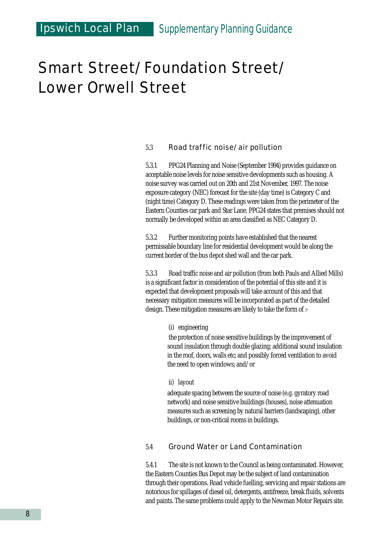### Ipswich Local Plan *Supplementary Planning Guidance*

### Smart Street/Foundation Street/ Lower Orwell Street

#### 5.3 Road traffic noise/air pollution

5.3.1 PPG24 Planning and Noise (September 1994) provides guidance on acceptable noise levels for noise sensitive developments such as housing. A noise survey was carried out on 20th and 21st November, 1997. The noise exposure category (NEC) forecast for the site (day time) is Category C and (night time) Category D. These readings were taken from the perimeter of the Eastern Counties car park and Star Lane. PPG24 states that premises should not normally be developed within an area classified as NEC Category D.

5.3.2 Further monitoring points have established that the nearest permissable boundary line for residential development would be along the current border of the bus depot shed wall and the car park.

5.3.3 Road traffic noise and air pollution (from both Pauls and Allied Mills) is a significant factor in consideration of the potential of this site and it is expected that development proposals will take account of this and that necessary mitigation measures will be incorporated as part of the detailed design. These mitigation measures are likely to take the form of :-

(i) engineering

the protection of noise sensitive buildings by the improvement of sound insulation through double glazing; additional sound insulation in the roof, doors, walls etc; and possibly forced ventilation to avoid the need to open windows; and/or

#### ii) layout

adequate spacing between the source of noise (e.g. gyratory road network) and noise sensitive buildings (houses), noise attenuation measures such as screening by natural barriers (landscaping), other buildings, or non-critical rooms in buildings.

#### 5.4 Ground Water or Land Contamination

5.4.1 The site is not known to the Council as being contaminated. However, the Eastern Counties Bus Depot may be the subject of land contamination through their operations. Road vehicle fuelling, servicing and repair stations are notorious for spillages of diesel oil, detergents, antifreeze, break fluids, solvents and paints. The same problems could apply to the Newman Motor Repairs site.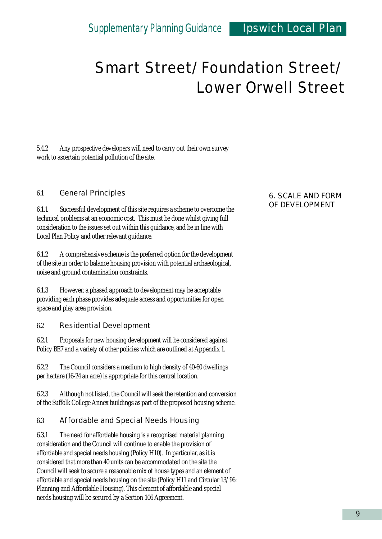5.4.2 Any prospective developers will need to carry out their own survey work to ascertain potential pollution of the site.

#### 6.1 General Principles

6.1.1 Successful development of this site requires a scheme to overcome the technical problems at an economic cost. This must be done whilst giving full consideration to the issues set out within this guidance, and be in line with Local Plan Policy and other relevant guidance.

6.1.2 A comprehensive scheme is the preferred option for the development of the site in order to balance housing provision with potential archaeological, noise and ground contamination constraints.

6.1.3 However, a phased approach to development may be acceptable providing each phase provides adequate access and opportunities for open space and play area provision.

#### 6.2 Residential Development

6.2.1 Proposals for new housing development will be considered against Policy BE7 and a variety of other policies which are outlined at Appendix 1.

6.2.2 The Council considers a medium to high density of 40-60 dwellings per hectare (16-24 an acre) is appropriate for this central location.

6.2.3 Although not listed, the Council will seek the retention and conversion of the Suffolk College Annex buildings as part of the proposed housing scheme.

#### 6.3 Affordable and Special Needs Housing

6.3.1 The need for affordable housing is a recognised material planning consideration and the Council will continue to enable the provision of affordable and special needs housing (Policy H10). In particular, as it is considered that more than 40 units can be accommodated on the site the Council will seek to secure a reasonable mix of house types and an element of affordable and special needs housing on the site (Policy H11 and Circular 13/96: Planning and Affordable Housing). This element of affordable and special needs housing will be secured by a Section 106 Agreement.

#### 6. SCALE AND FORM OF DEVELOPMENT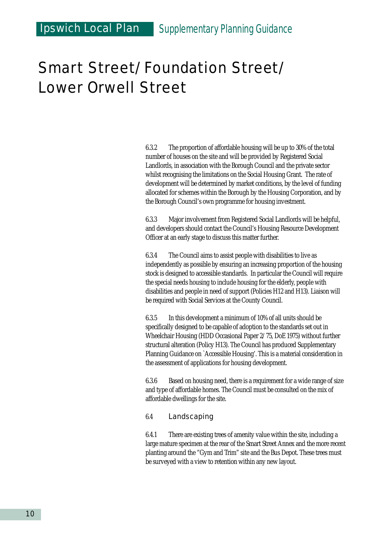6.3.2 The proportion of affordable housing will be up to 30% of the total number of houses on the site and will be provided by Registered Social Landlords, in association with the Borough Council and the private sector whilst recognising the limitations on the Social Housing Grant. The rate of development will be determined by market conditions, by the level of funding allocated for schemes within the Borough by the Housing Corporation, and by the Borough Council's own programme for housing investment.

6.3.3 Major involvement from Registered Social Landlords will be helpful, and developers should contact the Council's Housing Resource Development Officer at an early stage to discuss this matter further.

6.3.4 The Council aims to assist people with disabilities to live as independently as possible by ensuring an increasing proportion of the housing stock is designed to accessible standards. In particular the Council will require the special needs housing to include housing for the elderly, people with disabilities and people in need of support (Policies H12 and H13). Liaison will be required with Social Services at the County Council.

6.3.5 In this development a minimum of 10% of all units should be specifically designed to be capable of adoption to the standards set out in Wheelchair Housing (HDD Occasional Paper 2/75, DoE 1975) without further structural alteration (Policy H13). The Council has produced Supplementary Planning Guidance on `Accessible Housing'. This is a material consideration in the assessment of applications for housing development.

6.3.6 Based on housing need, there is a requirement for a wide range of size and type of affordable homes. The Council must be consulted on the mix of affordable dwellings for the site.

#### 6.4 Landscaping

6.4.1 There are existing trees of amenity value within the site, including a large mature specimen at the rear of the Smart Street Annex and the more recent planting around the "Gym and Trim" site and the Bus Depot. These trees must be surveyed with a view to retention within any new layout.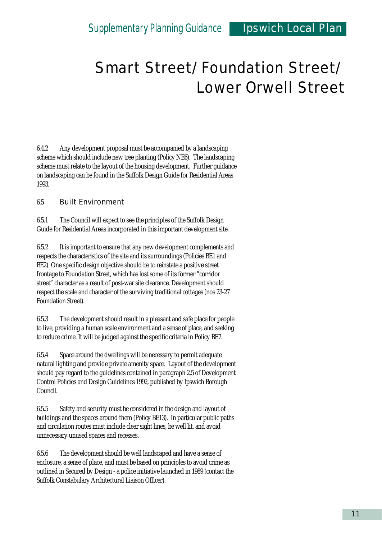6.4.2 Any development proposal must be accompanied by a landscaping scheme which should include new tree planting (Policy NE6). The landscaping scheme must relate to the layout of the housing development. Further guidance on landscaping can be found in the Suffolk Design Guide for Residential Areas 1993.

#### 6.5 Built Environment

6.5.1 The Council will expect to see the principles of the Suffolk Design Guide for Residential Areas incorporated in this important development site.

6.5.2 It is important to ensure that any new development complements and respects the characteristics of the site and its surroundings (Policies BE1 and BE2). One specific design objective should be to reinstate a positive street frontage to Foundation Street, which has lost some of its former "corridor street" character as a result of post-war site clearance. Development should respect the scale and character of the surviving traditional cottages (nos 23-27 Foundation Street).

6.5.3 The development should result in a pleasant and safe place for people to live, providing a human scale environment and a sense of place, and seeking to reduce crime. It will be judged against the specific criteria in Policy BE7.

6.5.4 Space around the dwellings will be necessary to permit adequate natural lighting and provide private amenity space. Layout of the development should pay regard to the guidelines contained in paragraph 2.5 of Development Control Policies and Design Guidelines 1992, published by Ipswich Borough Council.

6.5.5 Safety and security must be considered in the design and layout of buildings and the spaces around them (Policy BE13). In particular public paths and circulation routes must include clear sight lines, be well lit, and avoid unnecessary unused spaces and recesses.

6.5.6 The development should be well landscaped and have a sense of enclosure, a sense of place, and must be based on principles to avoid crime as outlined in Secured by Design - a police initiative launched in 1989 (contact the Suffolk Constabulary Architectural Liaison Officer).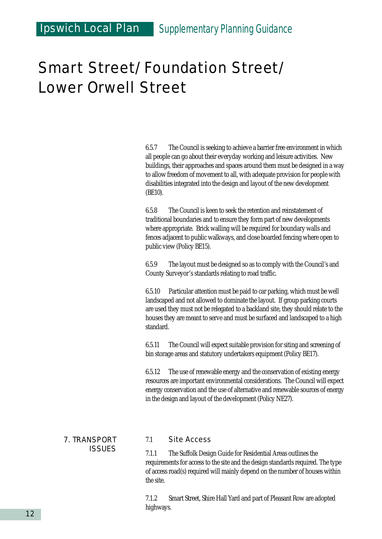6.5.7 The Council is seeking to achieve a barrier free environment in which all people can go about their everyday working and leisure activities. New buildings, their approaches and spaces around them must be designed in a way to allow freedom of movement to all, with adequate provision for people with disabilities integrated into the design and layout of the new development (BE10).

6.5.8 The Council is keen to seek the retention and reinstatement of traditional boundaries and to ensure they form part of new developments where appropriate. Brick walling will be required for boundary walls and fences adjacent to public walkways, and close boarded fencing where open to public view (Policy BE15).

6.5.9 The layout must be designed so as to comply with the Council's and County Surveyor's standards relating to road traffic.

6.5.10 Particular attention must be paid to car parking, which must be well landscaped and not allowed to dominate the layout. If group parking courts are used they must not be relegated to a backland site, they should relate to the houses they are meant to serve and must be surfaced and landscaped to a high standard.

6.5.11 The Council will expect suitable provision for siting and screening of bin storage areas and statutory undertakers equipment (Policy BE17).

6.5.12 The use of renewable energy and the conservation of existing energy resources are important environmental considerations. The Council will expect energy conservation and the use of alternative and renewable sources of energy in the design and layout of the development (Policy NE27).

#### 7. TRANSPORT ISSUES

#### 7.1 Site Access

7.1.1 The Suffolk Design Guide for Residential Areas outlines the requirements for access to the site and the design standards required. The type of access road(s) required will mainly depend on the number of houses within the site.

7.1.2 Smart Street, Shire Hall Yard and part of Pleasant Row are adopted highways.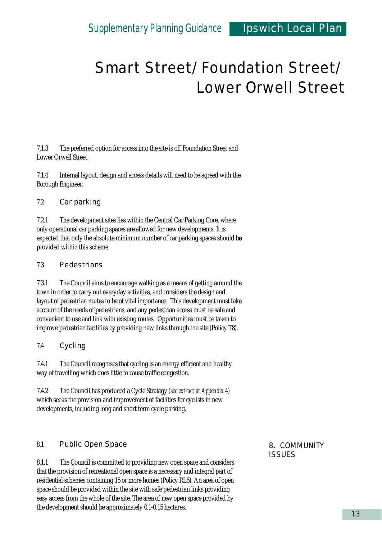7.1.3 The preferred option for access into the site is off Foundation Street and Lower Orwell Street.

7.1.4 Internal layout, design and access details will need to be agreed with the Borough Engineer.

#### 7.2 Car parking

7.2.1 The development sites lies within the Central Car Parking Core, where only operational car parking spaces are allowed for new developments. It is expected that only the absolute minimum number of car parking spaces should be provided within this scheme.

#### 7.3 Pedestrians

7.3.1 The Council aims to encourage walking as a means of getting around the town in order to carry out everyday activities, and considers the design and layout of pedestrian routes to be of vital importance. This development must take account of the needs of pedestrians, and any pedestrian access must be safe and convenient to use and link with existing routes. Opportunities must be taken to improve pedestrian facilities by providing new links through the site (Policy T8).

#### 7.4 Cycling

7.4.1 The Council recognises that cycling is an energy efficient and healthy way of travelling which does little to cause traffic congestion.

7.4.2 The Council has produced a Cycle Strategy *(see extract at Appendix 4)* which seeks the provision and improvement of facilities for cyclists in new developments, including long and short term cycle parking.

#### 8.1 Public Open Space

8.1.1 The Council is committed to providing new open space and considers that the provision of recreational open space is a necessary and integral part of residential schemes containing 15 or more homes (Policy RL6). An area of open space should be provided within the site with safe pedestrian links providing easy access from the whole of the site. The area of new open space provided by the development should be approximately 0.1-0.15 hectares.

8. COMMUNITY **ISSUES**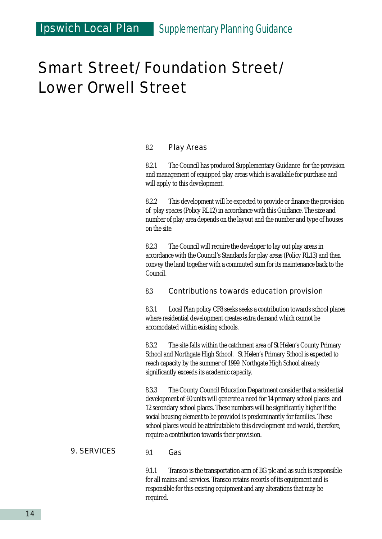#### 8.2 Play Areas

8.2.1 The Council has produced Supplementary Guidance for the provision and management of equipped play areas which is available for purchase and will apply to this development.

8.2.2 This development will be expected to provide or finance the provision of play spaces (Policy RL12) in accordance with this Guidance. The size and number of play area depends on the layout and the number and type of houses on the site.

8.2.3 The Council will require the developer to lay out play areas in accordance with the Council's Standards for play areas (Policy RL13) and then convey the land together with a commuted sum for its maintenance back to the Council.

#### 8.3 Contributions towards education provision

8.3.1 Local Plan policy CF8 seeks seeks a contribution towards school places where residential development creates extra demand which cannot be accomodated within existing schools.

8.3.2 The site falls within the catchment area of St Helen's County Primary School and Northgate High School. St Helen's Primary School is expected to reach capacity by the summer of 1999. Northgate High School already significantly exceeds its academic capacity.

8.3.3 The County Council Education Department consider that a residential development of 60 units will generate a need for 14 primary school places and 12 secondary school places. These numbers will be significantly higher if the social housing element to be provided is predominantly for families. These school places would be attributable to this development and would, therefore, require a contribution towards their provision.

#### 9. SERVICES

#### 9.1 Gas

9.1.1 Transco is the transportation arm of BG plc and as such is responsible for all mains and services. Transco retains records of its equipment and is responsible for this existing equipment and any alterations that may be required.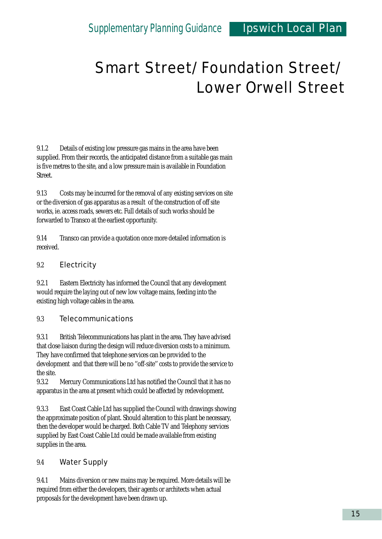9.1.2 Details of existing low pressure gas mains in the area have been supplied. From their records, the anticipated distance from a suitable gas main is five metres to the site, and a low pressure main is available in Foundation Street.

9.13 Costs may be incurred for the removal of any existing services on site or the diversion of gas apparatus as a result of the construction of off site works, ie. access roads, sewers etc. Full details of such works should be forwarded to Transco at the earliest opportunity.

9.14 Transco can provide a quotation once more detailed information is received.

#### 9.2 Electricity

9.2.1 Eastern Electricity has informed the Council that any development would require the laying out of new low voltage mains, feeding into the existing high voltage cables in the area.

#### 9.3 Telecommunications

9.3.1 British Telecommunications has plant in the area. They have advised that close liaison during the design will reduce diversion costs to a minimum. They have confirmed that telephone services can be provided to the development and that there will be no ''off-site'' costs to provide the service to the site.

9.3.2 Mercury Communications Ltd has notified the Council that it has no apparatus in the area at present which could be affected by redevelopment.

9.3.3 East Coast Cable Ltd has supplied the Council with drawings showing the approximate position of plant. Should alteration to this plant be necessary, then the developer would be charged. Both Cable TV and Telephony services supplied by East Coast Cable Ltd could be made available from existing supplies in the area.

#### 9.4 Water Supply

9.4.1 Mains diversion or new mains may be required. More details will be required from either the developers, their agents or architects when actual proposals for the development have been drawn up.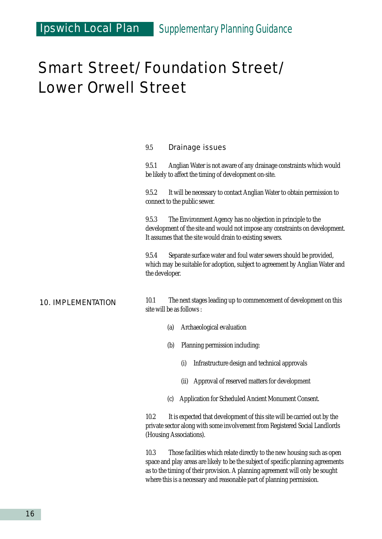#### 9.5 Drainage issues

9.5.1 Anglian Water is not aware of any drainage constraints which would be likely to affect the timing of development on-site.

9.5.2 It will be necessary to contact Anglian Water to obtain permission to connect to the public sewer.

9.5.3 The Environment Agency has no objection in principle to the development of the site and would not impose any constraints on development. It assumes that the site would drain to existing sewers.

9.5.4 Separate surface water and foul water sewers should be provided, which may be suitable for adoption, subject to agreement by Anglian Water and the developer.

#### 10. IMPLEMENTATION

10.1 The next stages leading up to commencement of development on this site will be as follows :

- (a) Archaeological evaluation
- (b) Planning permission including:
	- (i) Infrastructure design and technical approvals
	- (ii) Approval of reserved matters for development
- (c) Application for Scheduled Ancient Monument Consent.

10.2 It is expected that development of this site will be carried out by the private sector along with some involvement from Registered Social Landlords (Housing Associations).

10.3 Those facilities which relate directly to the new housing such as open space and play areas are likely to be the subject of specific planning agreements as to the timing of their provision. A planning agreement will only be sought where this is a necessary and reasonable part of planning permission.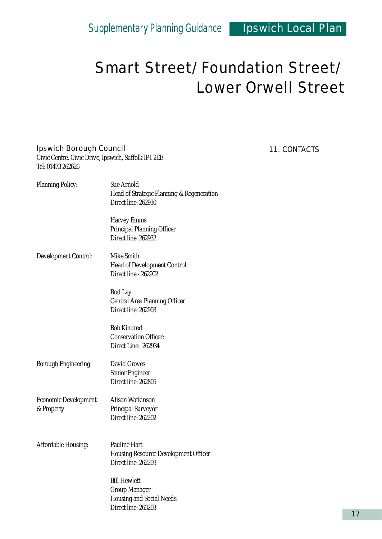#### Ipswich Borough Council

Civic Centre, Civic Drive, Ipswich, Suffolk IP1 2EE Tel: 01473 262626

| <b>Planning Policy:</b>                   | <b>Sue Arnold</b><br>Head of Strategic Planning & Regeneration<br>Direct line: 262930                 |
|-------------------------------------------|-------------------------------------------------------------------------------------------------------|
|                                           | Harvey Emms<br><b>Principal Planning Officer</b><br>Direct line: 262932                               |
| <b>Development Control:</b>               | Mike Smith<br><b>Head of Development Control</b><br>Direct line - 262902                              |
|                                           | Rod Lay<br><b>Central Area Planning Officer</b><br>Direct line: 262903                                |
|                                           | <b>Bob Kindred</b><br><b>Conservation Officer:</b><br>Direct Line: 262934                             |
| <b>Borough Engineering:</b>               | <b>David Groves</b><br>Senior Engineer<br>Direct line: 262805                                         |
| <b>Economic Development</b><br>& Property | Alison Watkinson<br><b>Principal Surveyor</b><br>Direct line: 262202                                  |
| <b>Affordable Housing:</b>                | <b>Pauline Hart</b><br><b>Housing Resource Development Officer</b><br>Direct line: 262209             |
|                                           | <b>Bill Hewlett</b><br><b>Group Manager</b><br><b>Housing and Social Needs</b><br>Direct line: 263203 |

#### 11. CONTACTS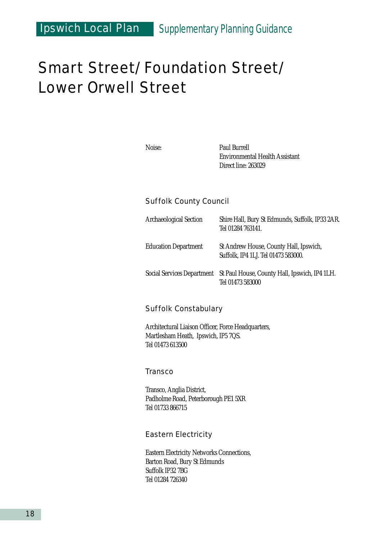### Ipswich Local Plan *Supplementary Planning Guidance*

### Smart Street/Foundation Street/ Lower Orwell Street

Noise: Paul Burrell Environmental Health Assistant Direct line: 263029

#### Suffolk County Council

| <b>Archaeological Section</b>     | Shire Hall, Bury St Edmunds, Suffolk, IP33 2AR.<br>Tel 01284 763141.          |
|-----------------------------------|-------------------------------------------------------------------------------|
| <b>Education Department</b>       | St Andrew House, County Hall, Ipswich,<br>Suffolk, IP4 1LJ. Tel 01473 583000. |
| <b>Social Services Department</b> | St Paul House, County Hall, Ipswich, IP4 1LH.<br>Tel 01473 583000             |

#### Suffolk Constabulary

Architectural Liaison Officer, Force Headquarters, Martlesham Heath, Ipswich, IP5 7QS. Tel 01473 613500

#### **Transco**

Transco, Anglia District, Padholme Road, Peterborough PE1 5XR Tel 01733 866715

#### Eastern Electricity

Eastern Electricity Networks Connections, Barton Road, Bury St Edmunds Suffolk IP32 7BG Tel 01284 726340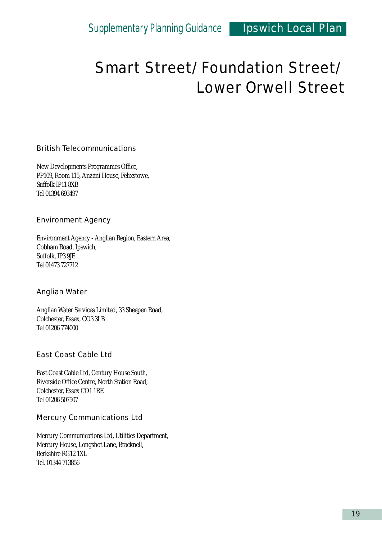#### British Telecommunications

New Developments Programmes Office, PP109, Room 115, Anzani House, Felixstowe, Suffolk IP11 8XB Tel 01394 693497

#### Environment Agency

Environment Agency - Anglian Region, Eastern Area, Cobham Road, Ipswich, Suffolk, IP3 9JE Tel 01473 727712

#### Anglian Water

Anglian Water Services Limited, 33 Sheepen Road, Colchester, Essex, CO3 3LB Tel 01206 774000

#### East Coast Cable Ltd

East Coast Cable Ltd, Century House South, Riverside Office Centre, North Station Road, Colchester, Essex CO1 1RE Tel 01206 507507

#### Mercury Communications Ltd

Mercury Communications Ltd, Utilities Department, Mercury House, Longshot Lane, Bracknell, Berkshire RG12 1XL Tel. 01344 713856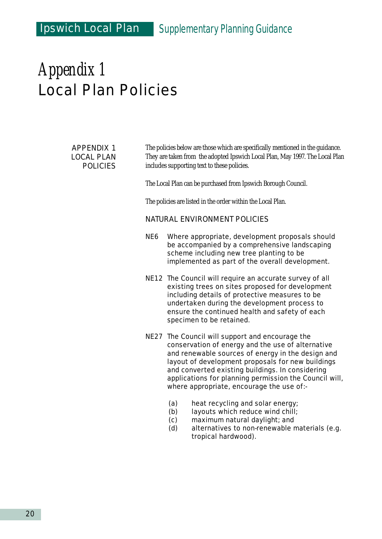#### APPENDIX 1 LOCAL PLAN POLICIES

The policies below are those which are specifically mentioned in the guidance. They are taken from the adopted Ipswich Local Plan, May 1997. The Local Plan includes supporting text to these policies.

The Local Plan can be purchased from Ipswich Borough Council.

The policies are listed in the order within the Local Plan.

#### NATURAL ENVIRONMENT POLICIES

- NE6 Where appropriate, development proposals should be accompanied by a comprehensive landscaping scheme including new tree planting to be implemented as part of the overall development.
- NE12 The Council will require an accurate survey of all existing trees on sites proposed for development including details of protective measures to be undertaken during the development process to ensure the continued health and safety of each specimen to be retained.
- NE27 The Council will support and encourage the conservation of energy and the use of alternative and renewable sources of energy in the design and layout of development proposals for new buildings and converted existing buildings. In considering applications for planning permission the Council will, where appropriate, encourage the use of:-
	- (a) heat recycling and solar energy;
	- (b) layouts which reduce wind chill;
	- (c) maximum natural daylight; and
	- (d) alternatives to non-renewable materials (e.g. tropical hardwood).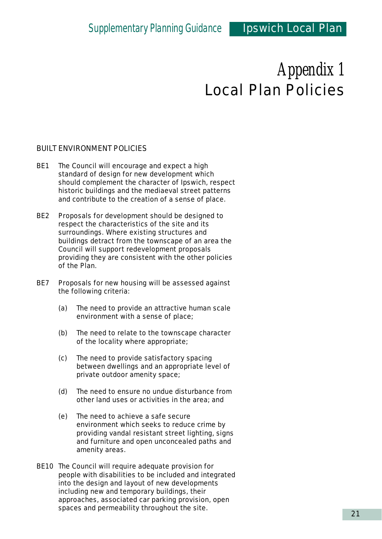#### BUILT ENVIRONMENT POLICIES

- BE1 The Council will encourage and expect a high standard of design for new development which should complement the character of Ipswich, respect historic buildings and the mediaeval street patterns and contribute to the creation of a sense of place.
- BE2 Proposals for development should be designed to respect the characteristics of the site and its surroundings. Where existing structures and buildings detract from the townscape of an area the Council will support redevelopment proposals providing they are consistent with the other policies of the Plan.
- BE7 Proposals for new housing will be assessed against the following criteria:
	- (a) The need to provide an attractive human scale environment with a sense of place;
	- (b) The need to relate to the townscape character of the locality where appropriate;
	- (c) The need to provide satisfactory spacing between dwellings and an appropriate level of private outdoor amenity space;
	- (d) The need to ensure no undue disturbance from other land uses or activities in the area; and
	- (e) The need to achieve a safe secure environment which seeks to reduce crime by providing vandal resistant street lighting, signs and furniture and open unconcealed paths and amenity areas.
- BE10 The Council will require adequate provision for people with disabilities to be included and integrated into the design and layout of new developments including new and temporary buildings, their approaches, associated car parking provision, open spaces and permeability throughout the site.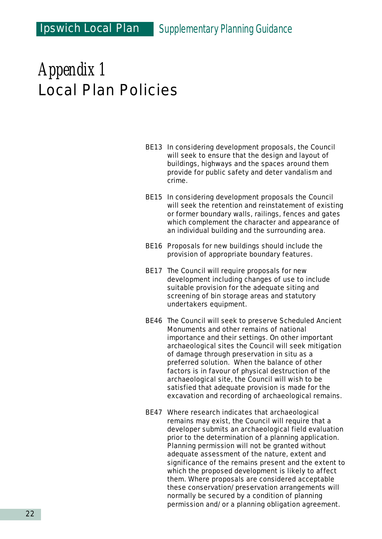- BE13 In considering development proposals, the Council will seek to ensure that the design and layout of buildings, highways and the spaces around them provide for public safety and deter vandalism and crime.
- BE15 In considering development proposals the Council will seek the retention and reinstatement of existing or former boundary walls, railings, fences and gates which complement the character and appearance of an individual building and the surrounding area.
- BE16 Proposals for new buildings should include the provision of appropriate boundary features.
- BE17 The Council will require proposals for new development including changes of use to include suitable provision for the adequate siting and screening of bin storage areas and statutory undertakers equipment.
- BE46 The Council will seek to preserve Scheduled Ancient Monuments and other remains of national importance and their settings. On other important archaeological sites the Council will seek mitigation of damage through preservation in situ as a preferred solution. When the balance of other factors is in favour of physical destruction of the archaeological site, the Council will wish to be satisfied that adequate provision is made for the excavation and recording of archaeological remains.
- BE47 Where research indicates that archaeological remains may exist, the Council will require that a developer submits an archaeological field evaluation prior to the determination of a planning application. Planning permission will not be granted without adequate assessment of the nature, extent and significance of the remains present and the extent to which the proposed development is likely to affect them. Where proposals are considered acceptable these conservation/preservation arrangements will normally be secured by a condition of planning permission and/or a planning obligation agreement.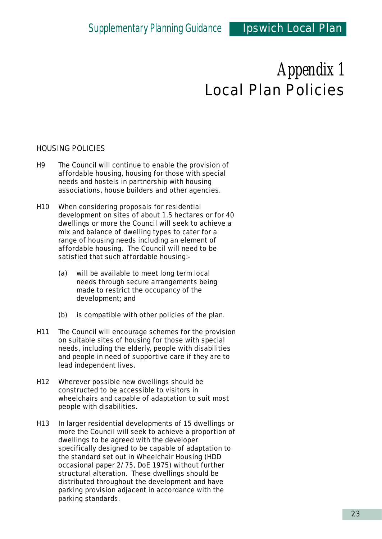#### HOUSING POLICIES

- H9 The Council will continue to enable the provision of affordable housing, housing for those with special needs and hostels in partnership with housing associations, house builders and other agencies.
- H10 When considering proposals for residential development on sites of about 1.5 hectares or for 40 dwellings or more the Council will seek to achieve a mix and balance of dwelling types to cater for a range of housing needs including an element of affordable housing. The Council will need to be satisfied that such affordable housing:-
	- (a) will be available to meet long term local needs through secure arrangements being made to restrict the occupancy of the development; and
	- (b) is compatible with other policies of the plan.
- H11 The Council will encourage schemes for the provision on suitable sites of housing for those with special needs, including the elderly, people with disabilities and people in need of supportive care if they are to lead independent lives.
- H12 Wherever possible new dwellings should be constructed to be accessible to visitors in wheelchairs and capable of adaptation to suit most people with disabilities.
- H13 In larger residential developments of 15 dwellings or more the Council will seek to achieve a proportion of dwellings to be agreed with the developer specifically designed to be capable of adaptation to the standard set out in Wheelchair Housing (HDD occasional paper 2/75, DoE 1975) without further structural alteration. These dwellings should be distributed throughout the development and have parking provision adjacent in accordance with the parking standards.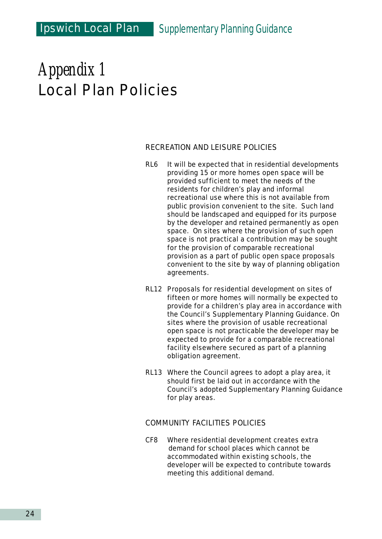#### RECREATION AND LEISURE POLICIES

- RL6 It will be expected that in residential developments providing 15 or more homes open space will be provided sufficient to meet the needs of the residents for children's play and informal recreational use where this is not available from public provision convenient to the site. Such land should be landscaped and equipped for its purpose by the developer and retained permanently as open space. On sites where the provision of such open space is not practical a contribution may be sought for the provision of comparable recreational provision as a part of public open space proposals convenient to the site by way of planning obligation agreements.
- RL12 Proposals for residential development on sites of fifteen or more homes will normally be expected to provide for a children's play area in accordance with the Council's Supplementary Planning Guidance. On sites where the provision of usable recreational open space is not practicable the developer may be expected to provide for a comparable recreational facility elsewhere secured as part of a planning obligation agreement.
- RL13 Where the Council agrees to adopt a play area, it should first be laid out in accordance with the Council's adopted Supplementary Planning Guidance for play areas.

#### COMMUNITY FACILITIES POLICIES

CF8 Where residential development creates extra demand for school places which cannot be accommodated within existing schools, the developer will be expected to contribute towards meeting this additional demand.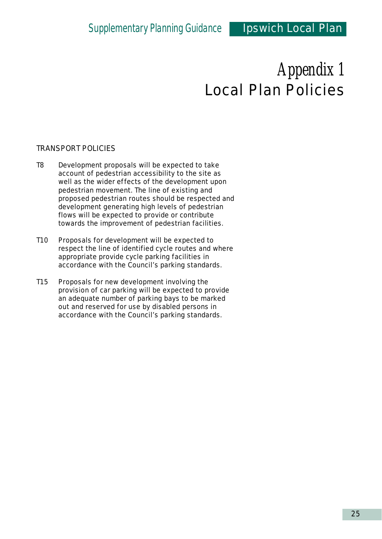#### TRANSPORT POLICIES

- T8 Development proposals will be expected to take account of pedestrian accessibility to the site as well as the wider effects of the development upon pedestrian movement. The line of existing and proposed pedestrian routes should be respected and development generating high levels of pedestrian flows will be expected to provide or contribute towards the improvement of pedestrian facilities.
- T10 Proposals for development will be expected to respect the line of identified cycle routes and where appropriate provide cycle parking facilities in accordance with the Council's parking standards.
- T15 Proposals for new development involving the provision of car parking will be expected to provide an adequate number of parking bays to be marked out and reserved for use by disabled persons in accordance with the Council's parking standards.